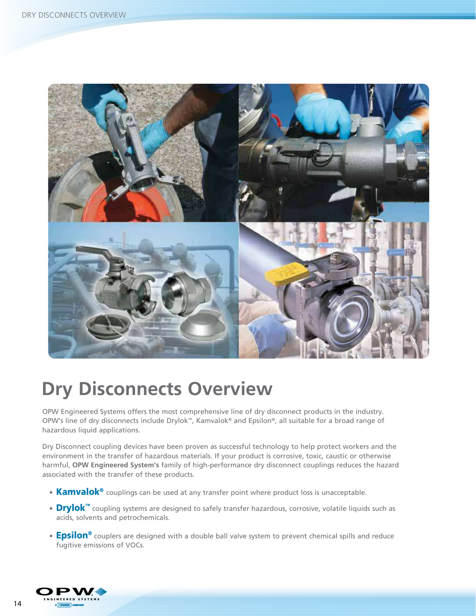

# **Dry Disconnects Overview**

OPW Engineered Systems offers the most comprehensive line of dry disconnect products in the industry. OPW's line of dry disconnects include Drylok™, Kamvalok® and Epsilon®, all suitable for a broad range of hazardous liquid applications.

Dry Disconnect coupling devices have been proven as successful technology to help protect workers and the environment in the transfer of hazardous materials. If your product is corrosive, toxic, caustic or otherwise harmful, **OPW Engineered System's** family of high-performance dry disconnect couplings reduces the hazard associated with the transfer of these products.

- **Kamvalok<sup>®</sup>** couplings can be used at any transfer point where product loss is unacceptable.
- **Drylok™** coupling systems are designed to safely transfer hazardous, corrosive, volatile liquids such as acids, solvents and petrochemicals.
- **Epsilon<sup>®</sup>** couplers are designed with a double ball valve system to prevent chemical spills and reduce fugitive emissions of VOCs.

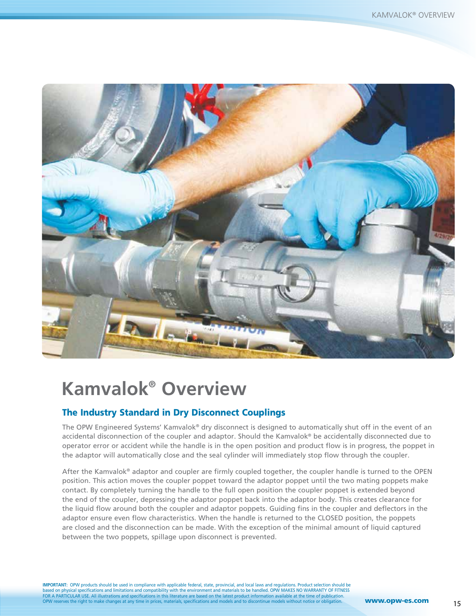

# **Kamvalok® Overview**

### The Industry Standard in Dry Disconnect Couplings

The OPW Engineered Systems' Kamvalok® dry disconnect is designed to automatically shut off in the event of an accidental disconnection of the coupler and adaptor. Should the Kamvalok® be accidentally disconnected due to operator error or accident while the handle is in the open position and product flow is in progress, the poppet in the adaptor will automatically close and the seal cylinder will immediately stop flow through the coupler.

After the Kamvalok® adaptor and coupler are firmly coupled together, the coupler handle is turned to the OPEN position. This action moves the coupler poppet toward the adaptor poppet until the two mating poppets make contact. By completely turning the handle to the full open position the coupler poppet is extended beyond the end of the coupler, depressing the adaptor poppet back into the adaptor body. This creates clearance for the liquid flow around both the coupler and adaptor poppets. Guiding fins in the coupler and deflectors in the adaptor ensure even flow characteristics. When the handle is returned to the CLOSED position, the poppets are closed and the disconnection can be made. With the exception of the minimal amount of liquid captured between the two poppets, spillage upon disconnect is prevented.

**IMPORTANT:** OPW products should be used in compliance with applicable federal, state, provincial, and local laws and regulations. Product selection should be<br>based on physical specifications and limitations and compatibil es the right to make changes at any time in prices, materials, specifications and models and to discontinue models without notice or obligation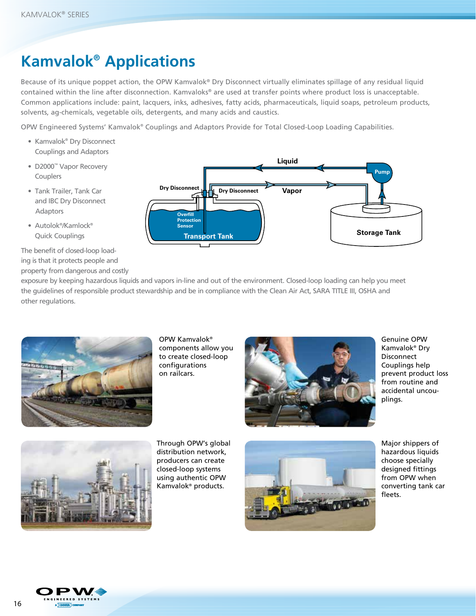# **Kamvalok® Applications**

Because of its unique poppet action, the OPW Kamvalok® Dry Disconnect virtually eliminates spillage of any residual liquid contained within the line after disconnection. Kamvaloks® are used at transfer points where product loss is unacceptable. Common applications include: paint, lacquers, inks, adhesives, fatty acids, pharmaceuticals, liquid soaps, petroleum products, solvents, ag-chemicals, vegetable oils, detergents, and many acids and caustics.

OPW Engineered Systems' Kamvalok® Couplings and Adaptors Provide for Total Closed-Loop Loading Capabilities.

- Kamvalok® Dry Disconnect Couplings and Adaptors
- D2000™ Vapor Recovery Couplers
- Tank Trailer, Tank Car and IBC Dry Disconnect Adaptors
- Autolok®/Kamlock® Quick Couplings

The benefit of closed-loop loading is that it protects people and property from dangerous and costly



exposure by keeping hazardous liquids and vapors in-line and out of the environment. Closed-loop loading can help you meet the guidelines of responsible product stewardship and be in compliance with the Clean Air Act, SARA TITLE III, OSHA and other regulations.



OPW Kamvalok® components allow you to create closed-loop configurations on railcars.



Genuine OPW Kamvalok® Dry Disconnect Couplings help prevent product loss from routine and accidental uncouplings.



Through OPW's global distribution network, producers can create closed-loop systems using authentic OPW Kamvalok® products.



Major shippers of hazardous liquids choose specially designed fittings from OPW when converting tank car fleets.

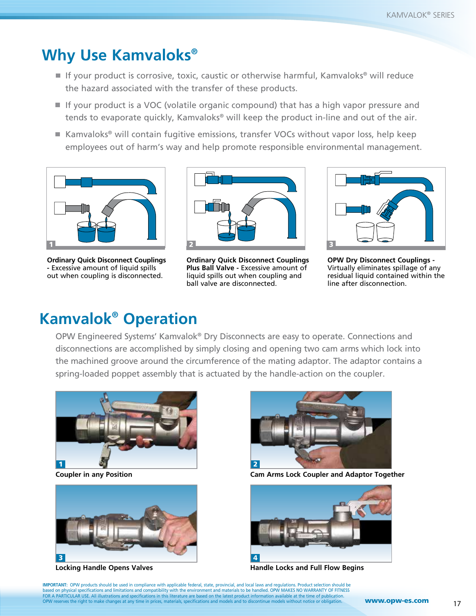# **Why Use Kamvaloks®**

- If your product is corrosive, toxic, caustic or otherwise harmful, Kamvaloks<sup>®</sup> will reduce the hazard associated with the transfer of these products.
- If your product is a VOC (volatile organic compound) that has a high vapor pressure and tends to evaporate quickly, Kamvaloks® will keep the product in-line and out of the air.
- Kamvaloks<sup>®</sup> will contain fugitive emissions, transfer VOCs without vapor loss, help keep employees out of harm's way and help promote responsible environmental management.



**Ordinary Quick Disconnect Couplings -** Excessive amount of liquid spills out when coupling is disconnected.



**Ordinary Quick Disconnect Couplings Plus Ball Valve -** Excessive amount of liquid spills out when coupling and ball valve are disconnected.



**OPW Dry Disconnect Couplings -**  Virtually eliminates spillage of any residual liquid contained within the line after disconnection.

# **Kamvalok® Operation**

OPW Engineered Systems' Kamvalok® Dry Disconnects are easy to operate. Connections and disconnections are accomplished by simply closing and opening two cam arms which lock into the machined groove around the circumference of the mating adaptor. The adaptor contains a spring-loaded poppet assembly that is actuated by the handle-action on the coupler.







**Coupler in any Position Cam Arms Lock Coupler and Adaptor Together**



**Locking Handle Opens Valves And Access Access And Access Added** Handle Locks and Full Flow Begins

**IMPORTANT:** OPW products should be used in compliance with applicable federal, state, provincial, and local laws and regulations. Product selection should be<br>based on physical specifications and limitations and compatibil OPW reserves the right to make changes at any time in prices, materials, specifications and models and to discontinue models without notice or obligation.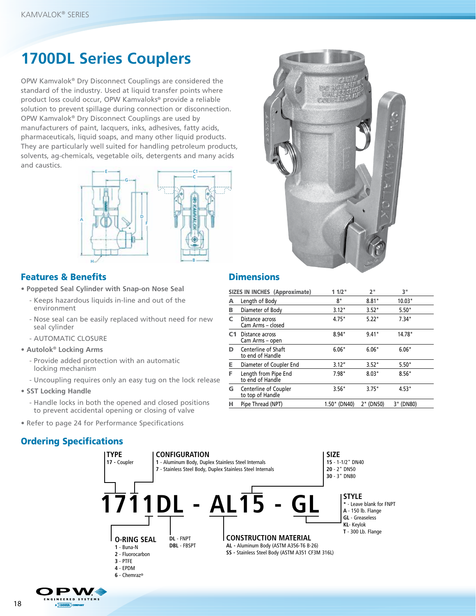# **1700DL Series Couplers**

OPW Kamvalok® Dry Disconnect Couplings are considered the standard of the industry. Used at liquid transfer points where product loss could occur, OPW Kamvaloks® provide a reliable solution to prevent spillage during connection or disconnection. OPW Kamvalok® Dry Disconnect Couplings are used by manufacturers of paint, lacquers, inks, adhesives, fatty acids, pharmaceuticals, liquid soaps, and many other liquid products. They are particularly well suited for handling petroleum products, solvents, ag-chemicals, vegetable oils, detergents and many acids and caustics.



### Features & Benefits **Dimensions**

**• Poppeted Seal Cylinder with Snap-on Nose Seal**

- Keeps hazardous liquids in-line and out of the environment
- Nose seal can be easily replaced without need for new seal cylinder
- AUTOMATIC CLOSURE
- **Autolok® Locking Arms**
	- Provide added protection with an automatic locking mechanism
	- Uncoupling requires only an easy tug on the lock release
- **SST Locking Handle**
	- Handle locks in both the opened and closed positions to prevent accidental opening or closing of valve
- Refer to page 24 for Performance Specifications

### Ordering Specifications





|    | <b>SIZES IN INCHES (Approximate)</b>      | 11/2"        | 2"        | 3"        |
|----|-------------------------------------------|--------------|-----------|-----------|
| А  | Length of Body                            | 8"           | 8.81"     | 10.03"    |
| в  | Diameter of Body                          | 3.12"        | 3.52"     | 5.50"     |
| c  | Distance across<br>Cam Arms - closed      | 4.75"        | 5.22"     | 7.34"     |
| C1 | Distance across<br>Cam Arms - open        | 8.94"        | 9.41"     | 14.78"    |
| D  | Centerline of Shaft<br>to end of Handle   | 6.06"        | 6.06"     | 6.06"     |
| Е  | Diameter of Coupler End                   | 3.12"        | 3.52"     | 5.50"     |
| F  | Length from Pipe End<br>to end of Handle  | 7.98"        | 8.03"     | 8.56"     |
| G  | Centerline of Coupler<br>to top of Handle | 3.56"        | 3.75"     | 4.53"     |
|    | Pipe Thread (NPT)                         | 1.50" (DN40) | 2" (DN50) | 3" (DN80) |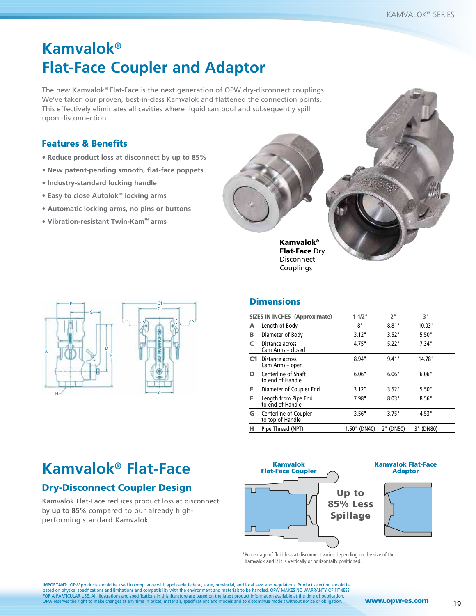# **Kamvalok® Flat-Face Coupler and Adaptor**

The new Kamvalok® Flat-Face is the next generation of OPW dry-disconnect couplings. We've taken our proven, best-in-class Kamvalok and flattened the connection points. This effectively eliminates all cavities where liquid can pool and subsequently spill upon disconnection.

### Features & Benefits

- **Reduce product loss at disconnect by up to 85%**
- **New patent-pending smooth, flat-face poppets**
- **Industry-standard locking handle**
- **Easy to close Autolok™ locking arms**
- **Automatic locking arms, no pins or buttons**
- **Vibration-resistant Twin-Kam™ arms**





Flat-Face Dry **Disconnect** Couplings



### **Dimensions**

|                | <b>SIZES IN INCHES (Approximate)</b>      | 11/2"        | 2"        | 3"        |
|----------------|-------------------------------------------|--------------|-----------|-----------|
| А              | Length of Body                            | 8"           | 8.81"     | 10.03"    |
| В              | Diameter of Body                          | 3.12"        | 3.52"     | 5.50"     |
| C              | Distance across<br>Cam Arms - closed      | 4.75"        | 5.22"     | 7.34"     |
| C <sub>1</sub> | Distance across<br>Cam Arms - open        | 8.94"        | 9.41"     | 14.78"    |
| D              | Centerline of Shaft<br>to end of Handle   | 6.06"        | 6.06"     | 6.06"     |
| Е              | Diameter of Coupler End                   | 3.12''       | 3.52"     | 5.50"     |
| F.             | Length from Pipe End<br>to end of Handle  | 7.98"        | 8.03"     | 8.56"     |
| G              | Centerline of Coupler<br>to top of Handle | 3.56"        | 3.75"     | 4.53"     |
| н              | Pipe Thread (NPT)                         | 1.50" (DN40) | 2" (DN50) | 3" (DN80) |

# **Kamvalok® Flat-Face**

# Dry-Disconnect Coupler Design

Kamvalok Flat-Face reduces product loss at disconnect by **up to 85%** compared to our already highperforming standard Kamvalok.



#### Kamvalok Flat-Face Adaptor



\* Percentage of fluid loss at disconnect varies depending on the size of the Kamvalok and if it is vertically or horizontally positioned.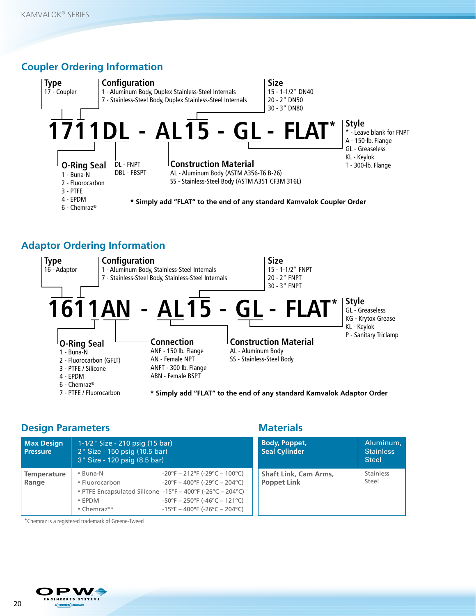# **Coupler Ordering Information**



# **Adaptor Ordering Information**



**\* Simply add "FLAT" to the end of any standard Kamvalok Adaptor Order** 

### **Design Parameters**

| <b>Max Design</b><br><b>Pressure</b> | $1 - 1/2$ Size - 210 psig (15 bar)<br>2" Size - 150 psig (10.5 bar)<br>3" Size - 120 psig (8.5 bar) |                                                                                                                                                                                                                                                                                                                            |  |
|--------------------------------------|-----------------------------------------------------------------------------------------------------|----------------------------------------------------------------------------------------------------------------------------------------------------------------------------------------------------------------------------------------------------------------------------------------------------------------------------|--|
| <b>Temperature</b><br>Range          | • Buna-N<br>• Fluorocarbon<br>$\cdot$ FPDM<br>• Chemraz <sup>®*</sup>                               | $-20^{\circ}F - 212^{\circ}F (-29^{\circ}C - 100^{\circ}C)$<br>$-20^{\circ}F - 400^{\circ}F (-29^{\circ}C - 204^{\circ}C)$<br>• PTFE Encapsulated Silicone -15°F - 400°F (-26°C - 204°C)<br>$-50^{\circ}F - 250^{\circ}F$ ( $-46^{\circ}C - 121^{\circ}C$ )<br>$-15^{\circ}F - 400^{\circ}F (-26^{\circ}C - 204^{\circ}C)$ |  |

### **Materials**

| <b>Body, Poppet,</b><br><b>Seal Cylinder</b>       | Aluminum,<br><b>Stainless</b><br><b>Steel</b> |
|----------------------------------------------------|-----------------------------------------------|
| <b>Shaft Link, Cam Arms,</b><br><b>Poppet Link</b> | Stainless<br>Steel                            |

\*Chemraz is a registered trademark of Greene-Tweed

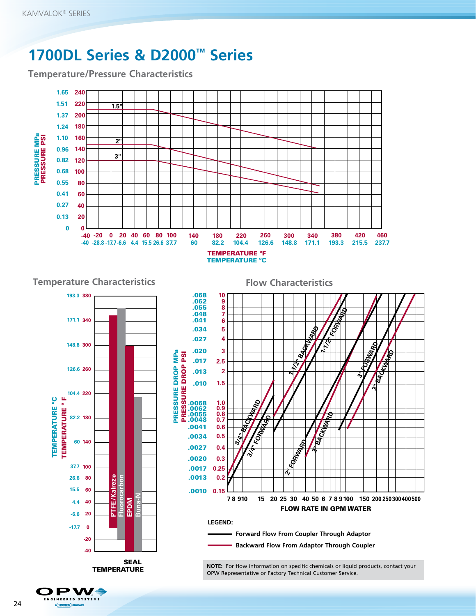# **1700DL Series & D2000™ Series**

**Temperature/Pressure Characteristics**





**GINEERED SYSTEMS** A DOVER COMPANY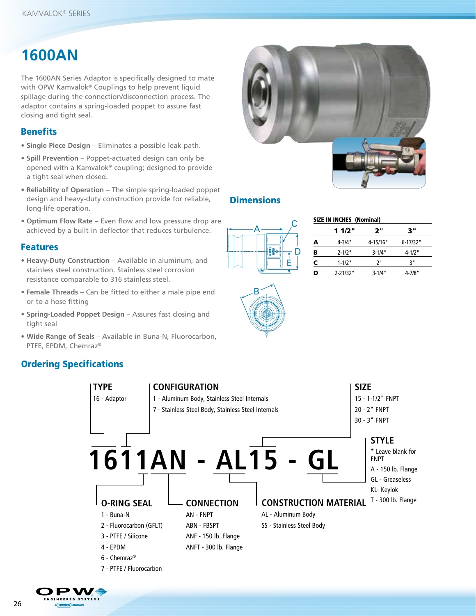# **1600AN**

The 1600AN Series Adaptor is specifically designed to mate with OPW Kamvalok® Couplings to help prevent liquid spillage during the connection/disconnection process. The adaptor contains a spring-loaded poppet to assure fast closing and tight seal.

### **Benefits**

- **Single Piece Design** Eliminates a possible leak path.
- **Spill Prevention** Poppet-actuated design can only be opened with a Kamvalok® coupling; designed to provide a tight seal when closed.
- **Reliability of Operation** The simple spring-loaded poppet design and heavy-duty construction provide for reliable, long-life operation.
- **Optimum Flow Rate** Even flow and low pressure drop are achieved by a built-in deflector that reduces turbulence.

### Features

- **Heavy-Duty Construction** Available in aluminum, and stainless steel construction. Stainless steel corrosion resistance comparable to 316 stainless steel.
- **Female Threads** Can be fitted to either a male pipe end or to a hose fitting
- **Spring-Loaded Poppet Design** Assures fast closing and tight seal
- **Wide Range of Seals** Available in Buna-N, Fluorocarbon, PTFE, EPDM, Chemraz®

# Ordering Specifications





### **Dimensions**

| œ | E |
|---|---|

B

| SIZE IN INCHES (Nominal) |              |            |          |
|--------------------------|--------------|------------|----------|
|                          | 11/2"        | י 2        | יי 3     |
| А                        | $4 - 3/4"$   | 4-15/16"   | 6-17/32" |
| В                        | $2 - 1/2"$   | $3 - 1/4"$ | 4-1/2"   |
| c                        | $1 - 1/2"$   | ر,         | ٦"       |
| D                        | $2 - 21/32"$ | $3 - 1/4"$ | 4-7/8"   |
|                          |              |            |          |

A DOVER COMPANY